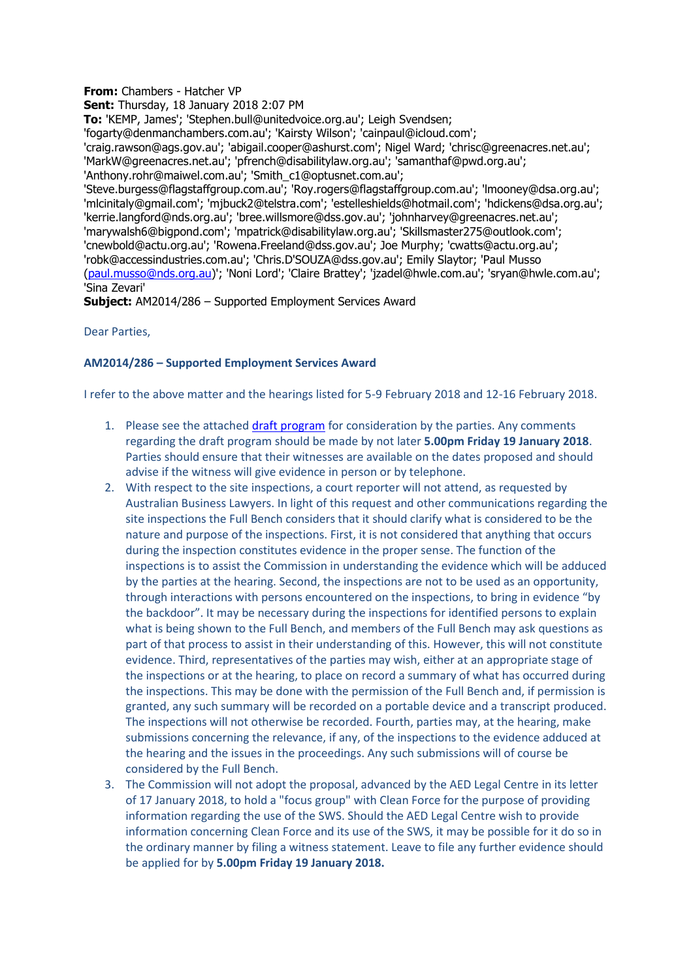## **From:** Chambers - Hatcher VP

**Sent:** Thursday, 18 January 2018 2:07 PM

**To:** 'KEMP, James'; 'Stephen.bull@unitedvoice.org.au'; Leigh Svendsen;

'fogarty@denmanchambers.com.au'; 'Kairsty Wilson'; 'cainpaul@icloud.com';

'craig.rawson@ags.gov.au'; 'abigail.cooper@ashurst.com'; Nigel Ward; 'chrisc@greenacres.net.au'; 'MarkW@greenacres.net.au'; 'pfrench@disabilitylaw.org.au'; 'samanthaf@pwd.org.au';

'Anthony.rohr@maiwel.com.au'; 'Smith\_c1@optusnet.com.au';

'Steve.burgess@flagstaffgroup.com.au'; 'Roy.rogers@flagstaffgroup.com.au'; 'lmooney@dsa.org.au'; 'mlcinitaly@gmail.com'; 'mjbuck2@telstra.com'; 'estelleshields@hotmail.com'; 'hdickens@dsa.org.au'; 'kerrie.langford@nds.org.au'; 'bree.willsmore@dss.gov.au'; 'johnharvey@greenacres.net.au'; 'marywalsh6@bigpond.com'; 'mpatrick@disabilitylaw.org.au'; 'Skillsmaster275@outlook.com'; 'cnewbold@actu.org.au'; 'Rowena.Freeland@dss.gov.au'; Joe Murphy; 'cwatts@actu.org.au'; 'robk@accessindustries.com.au'; 'Chris.D'SOUZA@dss.gov.au'; Emily Slaytor; 'Paul Musso [\(paul.musso@nds.org.au\)](mailto:paul.musso@nds.org.au)'; 'Noni Lord'; 'Claire Brattey'; 'jzadel@hwle.com.au'; 'sryan@hwle.com.au'; 'Sina Zevari'

**Subject:** AM2014/286 – Supported Employment Services Award

Dear Parties,

## **AM2014/286 – Supported Employment Services Award**

I refer to the above matter and the hearings listed for 5-9 February 2018 and 12-16 February 2018.

- 1. Please see the attache[d draft program](https://www.fwc.gov.au/documents/sites/awardsmodernfouryr/am2014286-feb-hearings-proposed-180118.pdf) for consideration by the parties. Any comments regarding the draft program should be made by not later **5.00pm Friday 19 January 2018**. Parties should ensure that their witnesses are available on the dates proposed and should advise if the witness will give evidence in person or by telephone.
- 2. With respect to the site inspections, a court reporter will not attend, as requested by Australian Business Lawyers. In light of this request and other communications regarding the site inspections the Full Bench considers that it should clarify what is considered to be the nature and purpose of the inspections. First, it is not considered that anything that occurs during the inspection constitutes evidence in the proper sense. The function of the inspections is to assist the Commission in understanding the evidence which will be adduced by the parties at the hearing. Second, the inspections are not to be used as an opportunity, through interactions with persons encountered on the inspections, to bring in evidence "by the backdoor". It may be necessary during the inspections for identified persons to explain what is being shown to the Full Bench, and members of the Full Bench may ask questions as part of that process to assist in their understanding of this. However, this will not constitute evidence. Third, representatives of the parties may wish, either at an appropriate stage of the inspections or at the hearing, to place on record a summary of what has occurred during the inspections. This may be done with the permission of the Full Bench and, if permission is granted, any such summary will be recorded on a portable device and a transcript produced. The inspections will not otherwise be recorded. Fourth, parties may, at the hearing, make submissions concerning the relevance, if any, of the inspections to the evidence adduced at the hearing and the issues in the proceedings. Any such submissions will of course be considered by the Full Bench.
- 3. The Commission will not adopt the proposal, advanced by the AED Legal Centre in its letter of 17 January 2018, to hold a "focus group" with Clean Force for the purpose of providing information regarding the use of the SWS. Should the AED Legal Centre wish to provide information concerning Clean Force and its use of the SWS, it may be possible for it do so in the ordinary manner by filing a witness statement. Leave to file any further evidence should be applied for by **5.00pm Friday 19 January 2018.**